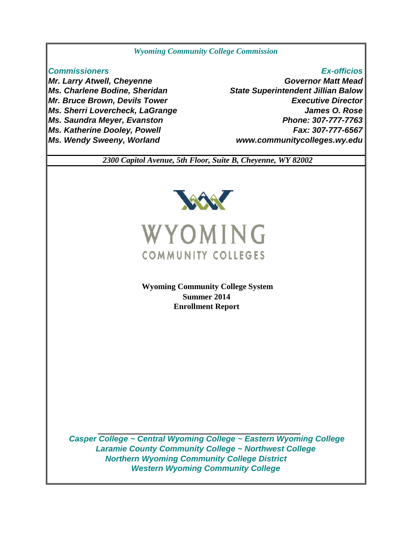# *Wyoming Community College Commission*

*Mr. Larry Atwell, Cheyenne Ms. Charlene Bodine, Sheridan Mr. Bruce Brown, Devils Tower Ms. Saundra Meyer, Evanston Ms. Katherine Dooley, Powell Ms. Wendy Sweeny, Worland*

 *www.communitycolleges.wy.edu Commissioners Ex-officios Governor Matt Mead Fax: 307-777-6567 Ms. Sherri Lovercheck, LaGrange James O. Rose Phone: 307-777-7763 State Superintendent Jillian Balow Executive Director*

 *2300 Capitol Avenue, 5th Floor, Suite B, Cheyenne, WY 82002*



 **Wyoming Community College System Summer 2014 Enrollment Report**

 *Northern Wyoming Community College District Western Wyoming Community College Casper College ~ Central Wyoming College ~ Eastern Wyoming College Laramie County Community College ~ Northwest College*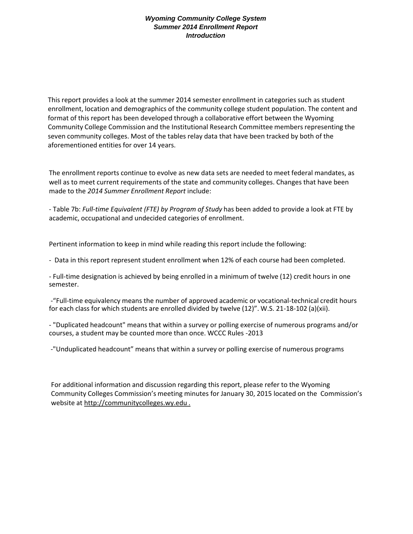This report provides a look at the summer 2014 semester enrollment in categories such as student enrollment, location and demographics of the community college student population. The content and format of this report has been developed through a collaborative effort between the Wyoming Community College Commission and the Institutional Research Committee members representing the seven community colleges. Most of the tables relay data that have been tracked by both of the aforementioned entities for over 14 years.

The enrollment reports continue to evolve as new data sets are needed to meet federal mandates, as well as to meet current requirements of the state and community colleges. Changes that have been made to the *2014 Summer Enrollment Report* include:

- Table 7b: *Full-time Equivalent (FTE) by Program of Study* has been added to provide a look at FTE by academic, occupational and undecided categories of enrollment.

Pertinent information to keep in mind while reading this report include the following:

- Data in this report represent student enrollment when 12% of each course had been completed.

- Full-time designation is achieved by being enrolled in a minimum of twelve (12) credit hours in one semester.

-"Full-time equivalency means the number of approved academic or vocational-technical credit hours for each class for which students are enrolled divided by twelve (12)". W.S. 21-18-102 (a)(xii).

- "Duplicated headcount" means that within a survey or polling exercise of numerous programs and/or courses, a student may be counted more than once. WCCC Rules -2013

-"Unduplicated headcount" means that within a survey or polling exercise of numerous programs

For additional information and discussion regarding this report, please refer to the Wyoming Community Colleges Commission's meeting minutes for January 30, 2015 located on the Commission's website at http://communitycolleges.wy.edu .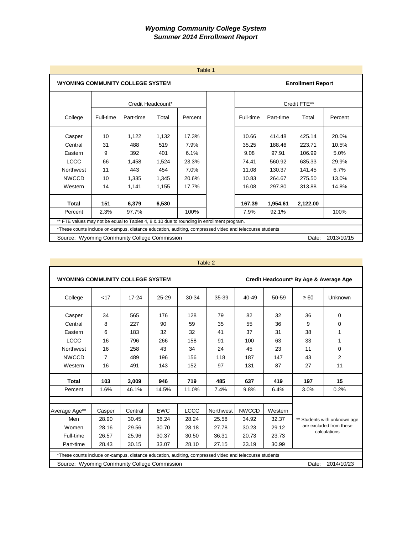|                                                                                                         | Table 1                                                                                   |                   |       |         |  |           |           |                          |         |  |  |
|---------------------------------------------------------------------------------------------------------|-------------------------------------------------------------------------------------------|-------------------|-------|---------|--|-----------|-----------|--------------------------|---------|--|--|
| <b>WYOMING COMMUNITY COLLEGE SYSTEM</b>                                                                 |                                                                                           |                   |       |         |  |           |           | <b>Enrollment Report</b> |         |  |  |
|                                                                                                         |                                                                                           | Credit Headcount* |       |         |  |           |           | Credit FTE**             |         |  |  |
| College                                                                                                 | Full-time                                                                                 | Part-time         | Total | Percent |  | Full-time | Part-time | Total                    | Percent |  |  |
| Casper                                                                                                  | 10                                                                                        | 1,122             | 1,132 | 17.3%   |  | 10.66     | 414.48    | 425.14                   | 20.0%   |  |  |
| Central                                                                                                 | 31                                                                                        | 488               | 519   | 7.9%    |  | 35.25     | 188.46    | 223.71                   | 10.5%   |  |  |
| Eastern                                                                                                 | 9                                                                                         | 392               | 401   | 6.1%    |  | 9.08      | 97.91     | 106.99                   | 5.0%    |  |  |
| <b>LCCC</b>                                                                                             | 66                                                                                        | 1,458             | 1,524 | 23.3%   |  | 74.41     | 560.92    | 635.33                   | 29.9%   |  |  |
| <b>Northwest</b>                                                                                        | 11                                                                                        | 443               | 454   | 7.0%    |  | 11.08     | 130.37    | 141.45                   | 6.7%    |  |  |
| <b>NWCCD</b>                                                                                            | 10                                                                                        | 1,335             | 1,345 | 20.6%   |  | 10.83     | 264.67    | 275.50                   | 13.0%   |  |  |
| Western                                                                                                 | 14                                                                                        | 1,141             | 1,155 | 17.7%   |  | 16.08     | 297.80    | 313.88                   | 14.8%   |  |  |
| Total                                                                                                   | 151                                                                                       | 6,379             | 6,530 |         |  | 167.39    | 1,954.61  | 2,122.00                 |         |  |  |
| Percent                                                                                                 | 2.3%                                                                                      | 97.7%             | 7.9%  | 92.1%   |  | 100%      |           |                          |         |  |  |
|                                                                                                         | ** FTE values may not be equal to Tables 4, 8 & 10 due to rounding in enrollment program. |                   |       |         |  |           |           |                          |         |  |  |
| *These counts include on-campus, distance education, auditing, compressed video and telecourse students |                                                                                           |                   |       |         |  |           |           |                          |         |  |  |
|                                                                                                         | 2013/10/15<br>Source: Wyoming Community College Commission<br>Date:                       |                   |       |         |  |           |           |                          |         |  |  |

| <b>WYOMING COMMUNITY COLLEGE SYSTEM</b>                                                                 |                                                                     | Credit Headcount* By Age & Average Age |            |       |           |              |         |           |                              |  |  |
|---------------------------------------------------------------------------------------------------------|---------------------------------------------------------------------|----------------------------------------|------------|-------|-----------|--------------|---------|-----------|------------------------------|--|--|
| College                                                                                                 | $<$ 17                                                              | $17 - 24$                              | 25-29      | 30-34 | 35-39     | 40-49        | 50-59   | $\geq 60$ | Unknown                      |  |  |
| Casper                                                                                                  | 34                                                                  | 565                                    | 176        | 128   | 79        | 82           | 32      | 36        | $\mathbf 0$                  |  |  |
| Central                                                                                                 | 8                                                                   | 227                                    | 90         | 59    | 35        | 55           | 36      | 9         | 0                            |  |  |
| Eastern                                                                                                 | 6                                                                   | 183                                    | 32         | 32    | 41        | 37           | 31      | 38        | 1                            |  |  |
| <b>LCCC</b>                                                                                             | 16                                                                  | 796                                    | 266        | 158   | 91        | 100          | 63      | 33        | 1                            |  |  |
| Northwest                                                                                               | 16                                                                  | 258                                    | 43         | 34    | 24        | 45           | 23      | 11        | 0                            |  |  |
| <b>NWCCD</b>                                                                                            | 7                                                                   | 489                                    | 196        | 156   | 118       | 187          | 147     | 43        | $\overline{2}$               |  |  |
| Western                                                                                                 | 16                                                                  | 491                                    | 143        | 152   | 97        | 131          | 87      | 27        | 11                           |  |  |
| <b>Total</b>                                                                                            | 103                                                                 | 3,009                                  | 946        | 719   | 485       | 637          | 419     | 197       | 15                           |  |  |
| Percent                                                                                                 | 1.6%                                                                | 46.1%                                  | 14.5%      | 11.0% | 7.4%      | 9.8%         | 6.4%    | 3.0%      | 0.2%                         |  |  |
|                                                                                                         |                                                                     |                                        |            |       |           |              |         |           |                              |  |  |
| Average Age**                                                                                           | Casper                                                              | Central                                | <b>EWC</b> | LCCC  | Northwest | <b>NWCCD</b> | Western |           |                              |  |  |
| Men                                                                                                     | 28.90                                                               | 30.45                                  | 36.24      | 28.24 | 25.58     | 34.92        | 32.37   |           | ** Students with unknown age |  |  |
| Women                                                                                                   | 28.16                                                               | 29.56                                  | 30.70      | 28.18 | 27.78     | 30.23        | 29.12   |           | are excluded from these      |  |  |
| calculations<br>25.96<br>23.73<br>Full-time<br>26.57<br>30.37<br>30.50<br>36.31<br>20.73                |                                                                     |                                        |            |       |           |              |         |           |                              |  |  |
| Part-time                                                                                               | 28.43<br>30.15<br>33.07<br>28.10<br>27.15<br>33.19<br>30.99         |                                        |            |       |           |              |         |           |                              |  |  |
| *These counts include on-campus, distance education, auditing, compressed video and telecourse students |                                                                     |                                        |            |       |           |              |         |           |                              |  |  |
|                                                                                                         | Source: Wyoming Community College Commission<br>Date:<br>2014/10/23 |                                        |            |       |           |              |         |           |                              |  |  |

Table 2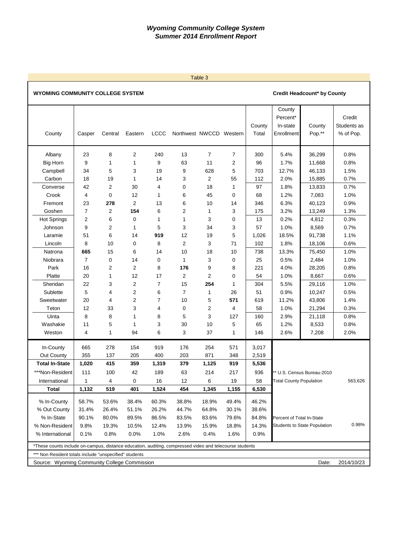#### Table 3

# WYOMING COMMUNITY COLLEGE SYSTEM **COMMUNITY COLLEGE SYSTEM COMMUNITY COLLEGE SYSTEM**

|                                                                                                         |                |             |                |                |                         |                |       |        | County                         |                              |             |
|---------------------------------------------------------------------------------------------------------|----------------|-------------|----------------|----------------|-------------------------|----------------|-------|--------|--------------------------------|------------------------------|-------------|
|                                                                                                         |                |             |                |                |                         |                |       |        | Percent*                       |                              | Credit      |
|                                                                                                         |                |             |                |                |                         |                |       | County | In-state                       | County                       | Students as |
| County                                                                                                  | Casper         | Central     | Eastern        | <b>LCCC</b>    | Northwest NWCCD Western |                |       | Total  | Enrollment                     | Pop.**                       | % of Pop.   |
|                                                                                                         |                |             |                |                |                         |                |       |        |                                |                              |             |
| Albany                                                                                                  | 23             | 8           | 2              | 240            | 13                      | $\overline{7}$ | 7     | 300    | 5.4%                           | 36,299                       | 0.8%        |
| <b>Big Horn</b>                                                                                         | 9              | 1           | 1              | 9              | 63                      | 11             | 2     | 96     | 1.7%                           | 11,668                       | 0.8%        |
| Campbell                                                                                                | 34             | 5           | 3              | 19             | 9                       | 628            | 5     | 703    | 12.7%                          | 46,133                       | 1.5%        |
| Carbon                                                                                                  | 18             | 19          | 1              | 14             | 3                       | 2              | 55    | 112    | 2.0%                           | 15,885                       | 0.7%        |
| Converse                                                                                                | 42             | 2           | 30             | 4              | 0                       | 18             | 1     | 97     | 1.8%                           | 13,833                       | 0.7%        |
| Crook                                                                                                   | 4              | 0           | 12             | 1              | 6                       | 45             | 0     | 68     | 1.2%                           | 7,083                        | 1.0%        |
| Fremont                                                                                                 | 23             | 278         | $\overline{2}$ | 13             | 6                       | 10             | 14    | 346    | 6.3%                           | 40,123                       | 0.9%        |
| Goshen                                                                                                  | $\overline{7}$ | 2           | 154            | 6              | 2                       | 1              | 3     | 175    | 3.2%                           | 13,249                       | 1.3%        |
| <b>Hot Springs</b>                                                                                      | 2              | 6           | 0              | 1              | 1                       | 3              | 0     | 13     | 0.2%                           | 4,812                        | 0.3%        |
| Johnson                                                                                                 | 9              | 2           | 1              | 5              | 3                       | 34             | 3     | 57     | 1.0%                           | 8,569                        | 0.7%        |
| Laramie                                                                                                 | 51             | 6           | 14             | 919            | 12                      | 19             | 5     | 1,026  | 18.5%                          | 91,738                       | 1.1%        |
| Lincoln                                                                                                 | 8              | 10          | 0              | 8              | $\overline{2}$          | 3              | 71    | 102    | 1.8%                           | 18,106                       | 0.6%        |
| Natrona                                                                                                 | 665            | 15          | 6              | 14             | 10                      | 18             | 10    | 738    | 13.3%                          | 75,450                       | 1.0%        |
| Niobrara                                                                                                | $\overline{7}$ | $\mathbf 0$ | 14             | 0              | 1                       | 3              | 0     | 25     | 0.5%                           | 2,484                        | 1.0%        |
| Park                                                                                                    | 16             | 2           | 2              | 8              | 176                     | 9              | 8     | 221    | 4.0%                           | 28,205                       | 0.8%        |
| Platte                                                                                                  | 20             | 1           | 12             | 17             | 2                       | $\overline{2}$ | 0     | 54     | 1.0%                           | 8,667                        | 0.6%        |
| Sheridan                                                                                                | 22             | 3           | $\overline{2}$ | $\overline{7}$ | 15                      | 254            | 1     | 304    | 5.5%                           | 29,116                       | 1.0%        |
| Sublette                                                                                                | 5              | 4           | 2              | 6              | 7                       | 1              | 26    | 51     | 0.9%                           | 10,247                       | 0.5%        |
| Sweetwater                                                                                              | 20             | 4           | 2              | 7              | 10                      | 5              | 571   | 619    | 11.2%                          | 43,806                       | 1.4%        |
| Teton                                                                                                   | 12             | 33          | 3              | 4              | 0                       | $\overline{2}$ | 4     | 58     | 1.0%                           | 21,294                       | 0.3%        |
| Uinta                                                                                                   | 8              | 8           | 1              | 8              | 5                       | 3              | 127   | 160    | 2.9%                           | 21,118                       | 0.8%        |
| Washakie                                                                                                | 11             | 5           | 1              | 3              | 30                      | 10             | 5     | 65     | 1.2%                           | 8,533                        | 0.8%        |
| Weston                                                                                                  | 4              | 1           | 94             | 6              | 3                       | 37             | 1     | 146    | 2.6%                           | 7,208                        | 2.0%        |
|                                                                                                         |                |             |                |                |                         |                |       |        |                                |                              |             |
| In-County                                                                                               | 665            | 278         | 154            | 919            | 176                     | 254            | 571   | 3,017  |                                |                              |             |
| Out County                                                                                              | 355            | 137         | 205            | 400            | 203                     | 871            | 348   | 2,519  |                                |                              |             |
| <b>Total In-State</b>                                                                                   | 1,020          | 415         | 359            | 1,319          | 379                     | 1,125          | 919   | 5,536  |                                |                              |             |
| ***Non-Resident                                                                                         | 111            | 100         | 42             | 189            | 63                      | 214            | 217   | 936    |                                | ** U.S. Census Bureau-2010   |             |
| International                                                                                           | 1              | 4           | 0              | 16             | 12                      | 6              | 19    | 58     | <b>Total County Population</b> |                              | 563,626     |
| <b>Total</b>                                                                                            | 1,132          | 519         | 401            | 1,524          | 454                     | 1,345          | 1,155 | 6,530  |                                |                              |             |
| % In-County                                                                                             | 58.7%          | 53.6%       | 38.4%          | 60.3%          | 38.8%                   | 18.9%          | 49.4% | 46.2%  |                                |                              |             |
| % Out County                                                                                            | 31.4%          | 26.4%       | 51.1%          | 26.2%          | 44.7%                   | 64.8%          | 30.1% | 38.6%  |                                |                              |             |
| % In-State                                                                                              | 90.1%          | 80.0%       | 89.5%          | 86.5%          | 83.5%                   | 83.6%          | 79.6% | 84.8%  | Percent of Total In-State      |                              |             |
| % Non-Resident                                                                                          | 9.8%           | 19.3%       | 10.5%          | 12.4%          | 13.9%                   | 15.9%          | 18.8% | 14.3%  |                                | Students to State Population | 0.98%       |
| % International                                                                                         | 0.1%           | 0.8%        | $0.0\%$        | 1.0%           | 2.6%                    | 0.4%           | 1.6%  | 0.9%   |                                |                              |             |
|                                                                                                         |                |             |                |                |                         |                |       |        |                                |                              |             |
| *These counts include on-campus, distance education, auditing, compressed video and telecourse students |                |             |                |                |                         |                |       |        |                                |                              |             |
| *** Non Resident totals include "unspecified" students                                                  |                |             |                |                |                         |                |       |        |                                |                              |             |
| Source: Wyoming Community College Commission                                                            |                |             |                |                |                         |                |       |        |                                | Date:                        | 2014/10/23  |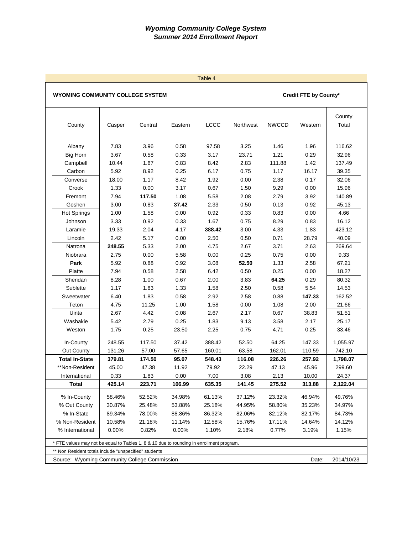| Table 4                                                                         |                                                                                                                                                                                                                                                                                                                                                                                                      |                                            |                                           |                                             |                                            |                                             |                                              |                                                   |  |  |  |  |
|---------------------------------------------------------------------------------|------------------------------------------------------------------------------------------------------------------------------------------------------------------------------------------------------------------------------------------------------------------------------------------------------------------------------------------------------------------------------------------------------|--------------------------------------------|-------------------------------------------|---------------------------------------------|--------------------------------------------|---------------------------------------------|----------------------------------------------|---------------------------------------------------|--|--|--|--|
| <b>WYOMING COMMUNITY COLLEGE SYSTEM</b>                                         |                                                                                                                                                                                                                                                                                                                                                                                                      |                                            |                                           |                                             |                                            |                                             | Credit FTE by County*                        |                                                   |  |  |  |  |
| County                                                                          | Casper                                                                                                                                                                                                                                                                                                                                                                                               | Central                                    | Eastern                                   | <b>LCCC</b>                                 | Northwest                                  | <b>NWCCD</b>                                | Western                                      | County<br>Total                                   |  |  |  |  |
| Albany<br><b>Big Horn</b><br>Campbell<br>Carbon<br>Converse                     | 7.83<br>3.67<br>10.44<br>5.92<br>18.00                                                                                                                                                                                                                                                                                                                                                               | 3.96<br>0.58<br>1.67<br>8.92<br>1.17       | 0.58<br>0.33<br>0.83<br>0.25<br>8.42      | 97.58<br>3.17<br>8.42<br>6.17<br>1.92       | 3.25<br>23.71<br>2.83<br>0.75<br>0.00      | 1.46<br>1.21<br>111.88<br>1.17<br>2.38      | 1.96<br>0.29<br>1.42<br>16.17<br>0.17        | 116.62<br>32.96<br>137.49<br>39.35<br>32.06       |  |  |  |  |
| Crook<br>Fremont<br>Goshen<br><b>Hot Springs</b><br>Johnson                     | 0.00<br>9.29<br>0.00<br>15.96<br>1.33<br>3.17<br>0.67<br>1.50<br>7.94<br>1.08<br>117.50<br>5.58<br>2.08<br>2.79<br>3.92<br>140.89<br>3.00<br>0.13<br>0.83<br>37.42<br>2.33<br>0.50<br>0.92<br>45.13<br>1.58<br>1.00<br>0.00<br>0.92<br>0.33<br>0.83<br>0.00<br>4.66<br>0.92<br>8.29<br>3.33<br>0.33<br>1.67<br>0.75<br>0.83<br>16.12                                                                 |                                            |                                           |                                             |                                            |                                             |                                              |                                                   |  |  |  |  |
| Laramie<br>Lincoln<br>Natrona<br>Niobrara<br>Park                               | 19.33<br>2.42<br>248.55<br>2.75<br>5.92                                                                                                                                                                                                                                                                                                                                                              | 2.04<br>5.17<br>5.33<br>0.00<br>0.88       | 4.17<br>0.00<br>2.00<br>5.58<br>0.92      | 388.42<br>2.50<br>4.75<br>0.00<br>3.08      | 3.00<br>0.50<br>2.67<br>0.25<br>52.50      | 4.33<br>0.71<br>3.71<br>0.75<br>1.33        | 1.83<br>28.79<br>2.63<br>0.00<br>2.58        | 423.12<br>40.09<br>269.64<br>9.33<br>67.21        |  |  |  |  |
| Platte<br>Sheridan<br>Sublette<br>Sweetwater<br>Teton                           | 7.94<br>8.28<br>1.17<br>6.40<br>4.75                                                                                                                                                                                                                                                                                                                                                                 | 0.58<br>1.00<br>1.83<br>1.83<br>11.25      | 2.58<br>0.67<br>1.33<br>0.58<br>1.00      | 6.42<br>2.00<br>1.58<br>2.92<br>1.58        | 0.50<br>3.83<br>2.50<br>2.58<br>0.00       | 0.25<br>64.25<br>0.58<br>0.88<br>1.08       | 0.00<br>0.29<br>5.54<br>147.33<br>2.00       | 18.27<br>80.32<br>14.53<br>162.52<br>21.66        |  |  |  |  |
| Uinta<br>Washakie<br>Weston<br>In-County                                        | 2.67<br>5.42<br>1.75<br>248.55                                                                                                                                                                                                                                                                                                                                                                       | 4.42<br>2.79<br>0.25<br>117.50             | 0.08<br>0.25<br>23.50<br>37.42            | 2.67<br>1.83<br>2.25<br>388.42              | 2.17<br>9.13<br>0.75<br>52.50              | 0.67<br>3.58<br>4.71<br>64.25               | 38.83<br>2.17<br>0.25<br>147.33              | 51.51<br>25.17<br>33.46<br>1,055.97               |  |  |  |  |
| Out County<br><b>Total In-State</b><br>**Non-Resident<br>International<br>Total | 131.26<br>379.81<br>45.00<br>0.33<br>425.14                                                                                                                                                                                                                                                                                                                                                          | 57.00<br>174.50<br>47.38<br>1.83<br>223.71 | 57.65<br>95.07<br>11.92<br>0.00<br>106.99 | 160.01<br>548.43<br>79.92<br>7.00<br>635.35 | 63.58<br>116.08<br>22.29<br>3.08<br>141.45 | 162.01<br>226.26<br>47.13<br>2.13<br>275.52 | 110.59<br>257.92<br>45.96<br>10.00<br>313.88 | 742.10<br>1,798.07<br>299.60<br>24.37<br>2,122.04 |  |  |  |  |
| % In-County<br>% Out County<br>% In-State<br>% Non-Resident<br>% International  | 58.46%<br>52.52%<br>34.98%<br>61.13%<br>37.12%<br>23.32%<br>46.94%<br>49.76%<br>30.87%<br>25.48%<br>53.88%<br>25.18%<br>44.95%<br>58.80%<br>35.23%<br>34.97%<br>89.34%<br>78.00%<br>88.86%<br>86.32%<br>82.06%<br>82.12%<br>82.17%<br>84.73%<br>10.58%<br>21.18%<br>11.14%<br>12.58%<br>15.76%<br>17.11%<br>14.64%<br>14.12%<br>0.00%<br>0.82%<br>0.00%<br>1.10%<br>2.18%<br>0.77%<br>3.19%<br>1.15% |                                            |                                           |                                             |                                            |                                             |                                              |                                                   |  |  |  |  |
|                                                                                 | * FTE values may not be equal to Tables 1, 8 & 10 due to rounding in enrollment program.<br>** Non Resident totals include "unspecified" students<br>2014/10/23<br>Source: Wyoming Community College Commission<br>Date:                                                                                                                                                                             |                                            |                                           |                                             |                                            |                                             |                                              |                                                   |  |  |  |  |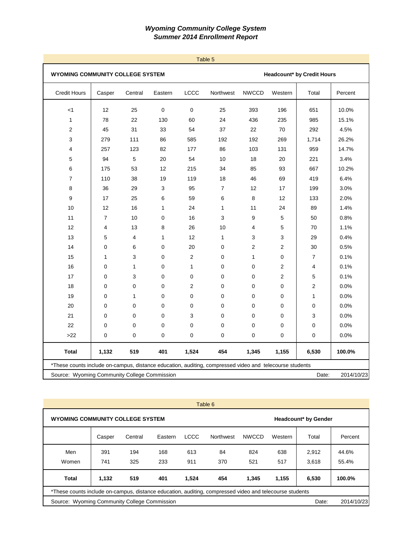| <b>Credit Hours</b><br>$<$ 1<br>1<br>$\overline{c}$<br>3<br>4<br>5<br>6<br>$\boldsymbol{7}$<br>8<br>9<br>10<br>11<br>12<br>13 | Casper<br>12<br>78<br>45<br>279<br>257<br>94 | Central<br>25<br>22<br>31<br>111 | Eastern<br>$\pmb{0}$<br>130 | LCCC<br>$\mathbf 0$ | Northwest      | <b>NWCCD</b>   | Western        | Total |         |
|-------------------------------------------------------------------------------------------------------------------------------|----------------------------------------------|----------------------------------|-----------------------------|---------------------|----------------|----------------|----------------|-------|---------|
|                                                                                                                               |                                              |                                  |                             |                     |                |                |                |       | Percent |
|                                                                                                                               |                                              |                                  |                             |                     | 25             | 393            | 196            | 651   | 10.0%   |
|                                                                                                                               |                                              |                                  |                             | 60                  | 24             | 436            | 235            | 985   | 15.1%   |
|                                                                                                                               |                                              |                                  | 33                          | 54                  | 37             | 22             | 70             | 292   | 4.5%    |
|                                                                                                                               |                                              |                                  | 86                          | 585                 | 192            | 192            | 269            | 1,714 | 26.2%   |
|                                                                                                                               |                                              | 123                              | 82                          | 177                 | 86             | 103            | 131            | 959   | 14.7%   |
|                                                                                                                               |                                              | 5                                | 20                          | 54                  | 10             | 18             | 20             | 221   | 3.4%    |
|                                                                                                                               | 175                                          | 53                               | 12                          | 215                 | 34             | 85             | 93             | 667   | 10.2%   |
|                                                                                                                               | 110                                          | 38                               | 19                          | 119                 | 18             | 46             | 69             | 419   | 6.4%    |
|                                                                                                                               | 36                                           | 29                               | 3                           | 95                  | $\overline{7}$ | 12             | 17             | 199   | 3.0%    |
|                                                                                                                               | 17                                           | 25                               | 6                           | 59                  | 6              | 8              | 12             | 133   | 2.0%    |
|                                                                                                                               | 12                                           | 16                               | $\mathbf{1}$                | 24                  | 1              | 11             | 24             | 89    | 1.4%    |
|                                                                                                                               | $\overline{7}$                               | 10                               | $\Omega$                    | 16                  | 3              | 9              | 5              | 50    | 0.8%    |
|                                                                                                                               | 4                                            | 13                               | 8                           | 26                  | 10             | 4              | 5              | 70    | 1.1%    |
|                                                                                                                               | 5                                            | 4                                | 1                           | 12                  | 1              | 3              | 3              | 29    | 0.4%    |
| 14                                                                                                                            | $\mathbf 0$                                  | 6                                | $\mathbf 0$                 | 20                  | 0              | $\overline{2}$ | $\overline{2}$ | 30    | 0.5%    |
| 15                                                                                                                            | $\mathbf{1}$                                 | 3                                | $\mathbf 0$                 | 2                   | 0              | $\mathbf{1}$   | 0              | 7     | 0.1%    |
| 16                                                                                                                            | $\mathbf 0$                                  | $\mathbf{1}$                     | $\mathbf 0$                 | $\mathbf{1}$        | 0              | 0              | $\overline{2}$ | 4     | 0.1%    |
| 17                                                                                                                            | $\mathbf 0$                                  | 3                                | $\mathbf 0$                 | $\mathbf 0$         | 0              | 0              | $\overline{2}$ | 5     | 0.1%    |
| 18                                                                                                                            | $\mathbf 0$                                  | 0                                | $\mathbf 0$                 | 2                   | 0              | 0              | 0              | 2     | 0.0%    |
| 19                                                                                                                            | $\mathbf 0$                                  | 1                                | $\mathbf 0$                 | $\mathbf 0$         | 0              | 0              | 0              | 1     | 0.0%    |
| 20                                                                                                                            | $\mathbf 0$                                  | 0                                | $\mathbf 0$                 | $\mathbf 0$         | 0              | 0              | 0              | 0     | 0.0%    |
| 21                                                                                                                            | $\mathbf 0$                                  | 0                                | $\mathbf 0$                 | 3                   | 0              | 0              | 0              | 3     | 0.0%    |
| 22                                                                                                                            | 0                                            | 0                                | $\mathbf 0$                 | $\mathbf 0$         | 0              | 0              | 0              | 0     | 0.0%    |
| $>22$                                                                                                                         | 0                                            | 0                                | $\mathbf 0$                 | 0                   | 0              | 0              | 0              | 0     | 0.0%    |
| <b>Total</b>                                                                                                                  | 1,132                                        | 519                              | 401                         | 1,524               | 454            | 1,345          | 1,155          | 6,530 | 100.0%  |
| *These counts include on-campus, distance education, auditing, compressed video and telecourse students                       |                                              |                                  |                             |                     |                |                |                |       |         |

|                                              | Table 6                                                                                                 |            |         |             |                  |                             |         |       |         |  |  |  |
|----------------------------------------------|---------------------------------------------------------------------------------------------------------|------------|---------|-------------|------------------|-----------------------------|---------|-------|---------|--|--|--|
| <b>WYOMING COMMUNITY COLLEGE SYSTEM</b>      |                                                                                                         |            |         |             |                  | <b>Headcount* by Gender</b> |         |       |         |  |  |  |
|                                              | Casper                                                                                                  | Central    | Eastern | <b>LCCC</b> | <b>Northwest</b> | <b>NWCCD</b>                | Western | Total | Percent |  |  |  |
| Men                                          | 391                                                                                                     | 194        | 168     | 613         | 84               | 824                         | 638     | 2,912 | 44.6%   |  |  |  |
| Women                                        | 741                                                                                                     | 325        | 233     | 911         | 370              | 521                         | 517     | 3.618 | 55.4%   |  |  |  |
| Total                                        | 1.132                                                                                                   | 519        | 401     | 1.524       | 454              | 1.345                       | 1,155   | 6,530 | 100.0%  |  |  |  |
|                                              | *These counts include on-campus, distance education, auditing, compressed video and telecourse students |            |         |             |                  |                             |         |       |         |  |  |  |
| Source: Wyoming Community College Commission | Date:                                                                                                   | 2014/10/23 |         |             |                  |                             |         |       |         |  |  |  |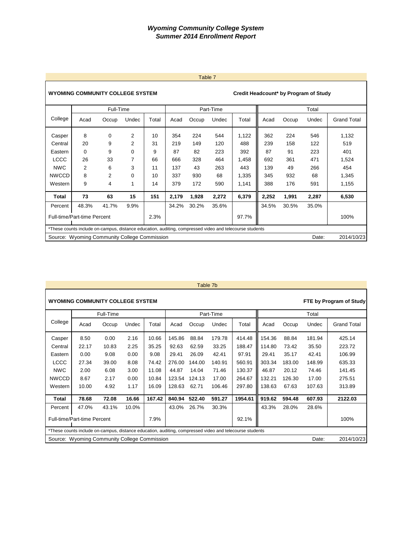|                                                     |                                                                                                         |                |             |       |       | Table 7 |           |       |       |       |                                       |                    |
|-----------------------------------------------------|---------------------------------------------------------------------------------------------------------|----------------|-------------|-------|-------|---------|-----------|-------|-------|-------|---------------------------------------|--------------------|
|                                                     | <b>WYOMING COMMUNITY COLLEGE SYSTEM</b>                                                                 |                |             |       |       |         |           |       |       |       | Credit Headcount* by Program of Study |                    |
|                                                     |                                                                                                         | Full-Time      |             |       |       |         | Part-Time |       |       |       | Total                                 |                    |
| College                                             | Acad                                                                                                    | Occup          | Undec       | Total | Acad  | Occup   | Undec     | Total | Acad  | Occup | Undec                                 | <b>Grand Total</b> |
| Casper                                              | 8                                                                                                       | 0              | 2           | 10    | 354   | 224     | 544       | 1,122 | 362   | 224   | 546                                   | 1,132              |
| Central                                             | 20                                                                                                      | 9              | 2           | 31    | 219   | 149     | 120       | 488   | 239   | 158   | 122                                   | 519                |
| Eastern                                             | $\Omega$                                                                                                | 9              | 0           | 9     | 87    | 82      | 223       | 392   | 87    | 91    | 223                                   | 401                |
| <b>LCCC</b>                                         | 26                                                                                                      | 33             | 7           | 66    | 666   | 328     | 464       | 1,458 | 692   | 361   | 471                                   | 1,524              |
| <b>NWC</b>                                          | $\overline{2}$                                                                                          | 6              | 3           | 11    | 137   | 43      | 263       | 443   | 139   | 49    | 266                                   | 454                |
| <b>NWCCD</b>                                        | 8                                                                                                       | $\overline{2}$ | $\mathbf 0$ | 10    | 337   | 930     | 68        | 1,335 | 345   | 932   | 68                                    | 1,345              |
| Western                                             | 9                                                                                                       | 4              | 1           | 14    | 379   | 172     | 590       | 1,141 | 388   | 176   | 591                                   | 1,155              |
| Total                                               | 73                                                                                                      | 63             | 15          | 151   | 2,179 | 1,928   | 2,272     | 6,379 | 2,252 | 1,991 | 2,287                                 | 6,530              |
| Percent                                             | 48.3%                                                                                                   | 41.7%          | 9.9%        |       | 34.2% | 30.2%   | 35.6%     |       | 34.5% | 30.5% | 35.0%                                 |                    |
| <b>Full-time/Part-time Percent</b><br>2.3%<br>97.7% |                                                                                                         |                |             |       |       |         |           |       |       | 100%  |                                       |                    |
|                                                     | *These counts include on-campus, distance education, auditing, compressed video and telecourse students |                |             |       |       |         |           |       |       |       |                                       |                    |
|                                                     | 2014/10/23<br>Source: Wyoming Community College Commission<br>Date:                                     |                |             |       |       |         |           |       |       |       |                                       |                    |

### Table 7b

Г

| <b>WYOMING COMMUNITY COLLEGE SYSTEM</b>               |                                                                                                         |           |       |        |        |        |           |         |            |        |        | FTE by Program of Study |
|-------------------------------------------------------|---------------------------------------------------------------------------------------------------------|-----------|-------|--------|--------|--------|-----------|---------|------------|--------|--------|-------------------------|
|                                                       |                                                                                                         | Full-Time |       |        |        |        | Part-Time |         |            |        | Total  |                         |
| College                                               | Acad                                                                                                    | Occup     | Undec | Total  | Acad   | Occup  | Undec     | Total   | Acad       | Occup  | Undec  | <b>Grand Total</b>      |
| Casper                                                | 8.50                                                                                                    | 0.00      | 2.16  | 10.66  | 145.86 | 88.84  | 179.78    | 414.48  | 154.36     | 88.84  | 181.94 | 425.14                  |
| Central                                               | 22.17                                                                                                   | 10.83     | 2.25  | 35.25  | 92.63  | 62.59  | 33.25     | 188.47  | 114.80     | 73.42  | 35.50  | 223.72                  |
| Eastern                                               | 0.00                                                                                                    | 9.08      | 0.00  | 9.08   | 29.41  | 26.09  | 42.41     | 97.91   | 29.41      | 35.17  | 42.41  | 106.99                  |
| <b>LCCC</b>                                           | 27.34                                                                                                   | 39.00     | 8.08  | 74.42  | 276.00 | 144.00 | 140.91    | 560.91  | 303.34     | 183.00 | 148.99 | 635.33                  |
| <b>NWC</b>                                            | 2.00                                                                                                    | 6.08      | 3.00  | 11.08  | 44.87  | 14.04  | 71.46     | 130.37  | 46.87      | 20.12  | 74.46  | 141.45                  |
| <b>NWCCD</b>                                          | 8.67                                                                                                    | 2.17      | 0.00  | 10.84  | 123.54 | 124.13 | 17.00     | 264.67  | 132.21     | 126.30 | 17.00  | 275.51                  |
| Western                                               | 10.00                                                                                                   | 4.92      | 1.17  | 16.09  | 128.63 | 62.71  | 106.46    | 297.80  | 138.63     | 67.63  | 107.63 | 313.89                  |
| <b>Total</b>                                          | 78.68                                                                                                   | 72.08     | 16.66 | 167.42 | 840.94 | 522.40 | 591.27    | 1954.61 | 919.62     | 594.48 | 607.93 | 2122.03                 |
| Percent                                               | 47.0%                                                                                                   | 43.1%     | 10.0% |        | 43.0%  | 26.7%  | 30.3%     |         | 43.3%      | 28.0%  | 28.6%  |                         |
|                                                       | Full-time/Part-time Percent<br>92.1%<br>7.9%                                                            |           |       |        |        |        |           |         |            | 100%   |        |                         |
|                                                       | *These counts include on-campus, distance education, auditing, compressed video and telecourse students |           |       |        |        |        |           |         |            |        |        |                         |
| Source: Wyoming Community College Commission<br>Date: |                                                                                                         |           |       |        |        |        |           |         | 2014/10/23 |        |        |                         |

#### Table 7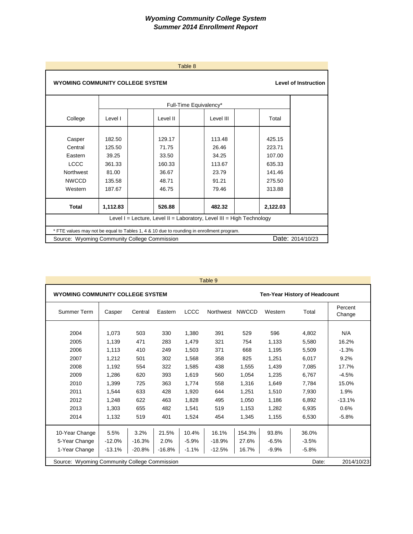| Table 8                                                                 |                                                                        |                                                                                          |                        |          |  |  |  |  |  |  |  |  |  |
|-------------------------------------------------------------------------|------------------------------------------------------------------------|------------------------------------------------------------------------------------------|------------------------|----------|--|--|--|--|--|--|--|--|--|
|                                                                         | <b>WYOMING COMMUNITY COLLEGE SYSTEM</b><br><b>Level of Instruction</b> |                                                                                          |                        |          |  |  |  |  |  |  |  |  |  |
|                                                                         |                                                                        |                                                                                          | Full-Time Equivalency* |          |  |  |  |  |  |  |  |  |  |
| College                                                                 | Level I                                                                | Level II                                                                                 | Level III              | Total    |  |  |  |  |  |  |  |  |  |
| Casper                                                                  | 182.50<br>129.17<br>113.48<br>425.15                                   |                                                                                          |                        |          |  |  |  |  |  |  |  |  |  |
| Central                                                                 | 125.50                                                                 | 71.75                                                                                    | 26.46                  | 223.71   |  |  |  |  |  |  |  |  |  |
| Eastern                                                                 | 39.25                                                                  | 33.50                                                                                    | 34.25                  | 107.00   |  |  |  |  |  |  |  |  |  |
| <b>LCCC</b>                                                             | 361.33                                                                 | 160.33                                                                                   | 113.67                 | 635.33   |  |  |  |  |  |  |  |  |  |
| Northwest                                                               | 81.00                                                                  | 36.67                                                                                    | 23.79                  | 141.46   |  |  |  |  |  |  |  |  |  |
| <b>NWCCD</b>                                                            | 135.58                                                                 | 48.71                                                                                    | 91.21                  | 275.50   |  |  |  |  |  |  |  |  |  |
| Western                                                                 | 187.67                                                                 | 46.75                                                                                    | 79.46                  | 313.88   |  |  |  |  |  |  |  |  |  |
| <b>Total</b>                                                            | 1,112.83                                                               | 526.88                                                                                   | 482.32                 | 2,122.03 |  |  |  |  |  |  |  |  |  |
| Level $I =$ Lecture, Level II = Laboratory, Level III = High Technology |                                                                        |                                                                                          |                        |          |  |  |  |  |  |  |  |  |  |
|                                                                         |                                                                        | * FTE values may not be equal to Tables 1, 4 & 10 due to rounding in enrollment program. |                        |          |  |  |  |  |  |  |  |  |  |
|                                                                         | Date: 2014/10/23<br>Source: Wyoming Community College Commission       |                                                                                          |                        |          |  |  |  |  |  |  |  |  |  |

| Table 9                                 |                                                                     |          |          |             |                               |              |         |         |                   |  |
|-----------------------------------------|---------------------------------------------------------------------|----------|----------|-------------|-------------------------------|--------------|---------|---------|-------------------|--|
| <b>WYOMING COMMUNITY COLLEGE SYSTEM</b> |                                                                     |          |          |             | Ten-Year History of Headcount |              |         |         |                   |  |
| Summer Term                             | Casper                                                              | Central  | Eastern  | <b>LCCC</b> | Northwest                     | <b>NWCCD</b> | Western | Total   | Percent<br>Change |  |
|                                         |                                                                     |          |          |             |                               |              |         |         |                   |  |
| 2004                                    | 1,073                                                               | 503      | 330      | 1,380       | 391                           | 529          | 596     | 4,802   | N/A               |  |
| 2005                                    | 1,139                                                               | 471      | 283      | 1,479       | 321                           | 754          | 1,133   | 5,580   | 16.2%             |  |
| 2006                                    | 1,113                                                               | 410      | 249      | 1,503       | 371                           | 668          | 1,195   | 5,509   | $-1.3%$           |  |
| 2007                                    | 1,212                                                               | 501      | 302      | 1,568       | 358                           | 825          | 1,251   | 6,017   | 9.2%              |  |
| 2008                                    | 1,192                                                               | 554      | 322      | 1,585       | 438                           | 1,555        | 1,439   | 7,085   | 17.7%             |  |
| 2009                                    | 1,286                                                               | 620      | 393      | 1,619       | 560                           | 1,054        | 1,235   | 6,767   | $-4.5%$           |  |
| 2010                                    | 1,399                                                               | 725      | 363      | 1,774       | 558                           | 1,316        | 1,649   | 7,784   | 15.0%             |  |
| 2011                                    | 1,544                                                               | 633      | 428      | 1,920       | 644                           | 1,251        | 1,510   | 7,930   | 1.9%              |  |
| 2012                                    | 1.248                                                               | 622      | 463      | 1,828       | 495                           | 1,050        | 1,186   | 6,892   | $-13.1%$          |  |
| 2013                                    | 1,303                                                               | 655      | 482      | 1,541       | 519                           | 1,153        | 1,282   | 6,935   | 0.6%              |  |
| 2014                                    | 1,132                                                               | 519      | 401      | 1,524       | 454                           | 1,345        | 1,155   | 6,530   | $-5.8%$           |  |
| 10-Year Change                          | 5.5%                                                                | 3.2%     | 21.5%    | 10.4%       | 16.1%                         | 154.3%       | 93.8%   | 36.0%   |                   |  |
| 5-Year Change                           | $-12.0%$                                                            | $-16.3%$ | 2.0%     | $-5.9%$     | $-18.9%$                      | 27.6%        | $-6.5%$ | $-3.5%$ |                   |  |
| 1-Year Change                           | $-13.1%$                                                            | $-20.8%$ | $-16.8%$ | $-1.1%$     | $-12.5%$                      | 16.7%        | $-9.9%$ | $-5.8%$ |                   |  |
|                                         | Source: Wyoming Community College Commission<br>Date:<br>2014/10/23 |          |          |             |                               |              |         |         |                   |  |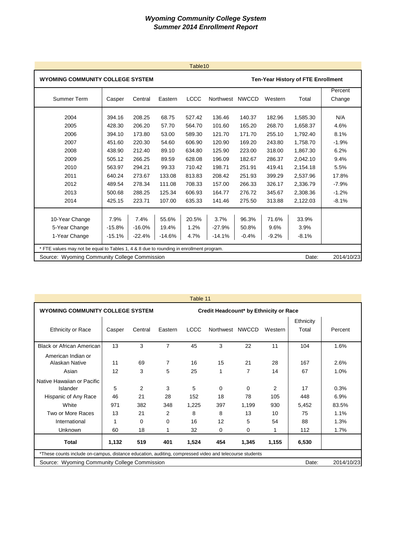| Table <sub>10</sub>                                                                                                                                                                                                                                                                          |                                                                                                  |                                                                                                  |                                                                                           |                                                                                                  |                                                                                                  |                                                                                                  |                                                                                                  |                                                                                                                      |                                                                                       |  |
|----------------------------------------------------------------------------------------------------------------------------------------------------------------------------------------------------------------------------------------------------------------------------------------------|--------------------------------------------------------------------------------------------------|--------------------------------------------------------------------------------------------------|-------------------------------------------------------------------------------------------|--------------------------------------------------------------------------------------------------|--------------------------------------------------------------------------------------------------|--------------------------------------------------------------------------------------------------|--------------------------------------------------------------------------------------------------|----------------------------------------------------------------------------------------------------------------------|---------------------------------------------------------------------------------------|--|
|                                                                                                                                                                                                                                                                                              | <b>WYOMING COMMUNITY COLLEGE SYSTEM</b><br><b>Ten-Year History of FTE Enrollment</b>             |                                                                                                  |                                                                                           |                                                                                                  |                                                                                                  |                                                                                                  |                                                                                                  |                                                                                                                      |                                                                                       |  |
| Summer Term                                                                                                                                                                                                                                                                                  | Casper                                                                                           | Central                                                                                          | Eastern                                                                                   | <b>LCCC</b>                                                                                      | Northwest                                                                                        | <b>NWCCD</b>                                                                                     | Western                                                                                          | Total                                                                                                                | Percent<br>Change                                                                     |  |
| 2004<br>2005<br>2006<br>2007<br>2008<br>2009<br>2010<br>2011<br>2012<br>2013                                                                                                                                                                                                                 | 394.16<br>428.30<br>394.10<br>451.60<br>438.90<br>505.12<br>563.97<br>640.24<br>489.54<br>500.68 | 208.25<br>206.20<br>173.80<br>220.30<br>212.40<br>266.25<br>294.21<br>273.67<br>278.34<br>288.25 | 68.75<br>57.70<br>53.00<br>54.60<br>89.10<br>89.59<br>99.33<br>133.08<br>111.08<br>125.34 | 527.42<br>564.70<br>589.30<br>606.90<br>634.80<br>628.08<br>710.42<br>813.83<br>708.33<br>606.93 | 136.46<br>101.60<br>121.70<br>120.90<br>125.90<br>196.09<br>198.71<br>208.42<br>157.00<br>164.77 | 140.37<br>165.20<br>171.70<br>169.20<br>223.00<br>182.67<br>251.91<br>251.93<br>266.33<br>276.72 | 182.96<br>268.70<br>255.10<br>243.80<br>318.00<br>286.37<br>419.41<br>399.29<br>326.17<br>345.67 | 1,585.30<br>1,658.37<br>1,792.40<br>1,758.70<br>1,867.30<br>2,042.10<br>2,154.18<br>2,537.96<br>2,336.79<br>2,308.36 | N/A<br>4.6%<br>8.1%<br>$-1.9%$<br>6.2%<br>9.4%<br>5.5%<br>17.8%<br>$-7.9%$<br>$-1.2%$ |  |
| 2014                                                                                                                                                                                                                                                                                         | 425.15                                                                                           | 223.71                                                                                           | 107.00                                                                                    | 635.33                                                                                           | 141.46                                                                                           | 275.50                                                                                           | 313.88                                                                                           | 2,122.03                                                                                                             | $-8.1%$                                                                               |  |
| 55.6%<br>20.5%<br>7.9%<br>7.4%<br>3.7%<br>96.3%<br>71.6%<br>10-Year Change<br>33.9%<br>5-Year Change<br>1.2%<br>$-15.8%$<br>$-16.0%$<br>19.4%<br>$-27.9%$<br>50.8%<br>9.6%<br>3.9%<br>1-Year Change<br>$-15.1%$<br>$-22.4%$<br>$-14.6%$<br>4.7%<br>$-14.1%$<br>$-0.4%$<br>$-9.2%$<br>$-8.1%$ |                                                                                                  |                                                                                                  |                                                                                           |                                                                                                  |                                                                                                  |                                                                                                  |                                                                                                  |                                                                                                                      |                                                                                       |  |
| * FTE values may not be equal to Tables 1, 4 & 8 due to rounding in enrollment program.                                                                                                                                                                                                      |                                                                                                  |                                                                                                  |                                                                                           |                                                                                                  |                                                                                                  |                                                                                                  |                                                                                                  |                                                                                                                      |                                                                                       |  |
| 2014/10/23<br>Source: Wyoming Community College Commission<br>Date:                                                                                                                                                                                                                          |                                                                                                  |                                                                                                  |                                                                                           |                                                                                                  |                                                                                                  |                                                                                                  |                                                                                                  |                                                                                                                      |                                                                                       |  |

|                                                                                                         |                                                                                   |          |         | Table 11    |                 |                      |          |                    |              |
|---------------------------------------------------------------------------------------------------------|-----------------------------------------------------------------------------------|----------|---------|-------------|-----------------|----------------------|----------|--------------------|--------------|
|                                                                                                         | <b>WYOMING COMMUNITY COLLEGE SYSTEM</b><br>Credit Headcount* by Ethnicity or Race |          |         |             |                 |                      |          |                    |              |
| <b>Ethnicity or Race</b>                                                                                | Casper                                                                            | Central  | Eastern | <b>LCCC</b> | Northwest NWCCD |                      | Western  | Ethnicity<br>Total | Percent      |
| <b>Black or African American</b>                                                                        | 13                                                                                | 3        | 7       | 45          | 3               | 22                   | 11       | 104                | 1.6%         |
| American Indian or<br>Alaskan Native<br>Asian                                                           | 11<br>12                                                                          | 69<br>3  | 7<br>5  | 16<br>25    | 15<br>1         | 21<br>$\overline{7}$ | 28<br>14 | 167<br>67          | 2.6%<br>1.0% |
| Native Hawaiian or Pacific<br>Islander                                                                  | 5                                                                                 | 2        | 3       | 5           | $\Omega$        | $\Omega$             | 2        | 17                 | 0.3%         |
| Hispanic of Any Race                                                                                    | 46                                                                                | 21       | 28      | 152         | 18              | 78                   | 105      | 448                | 6.9%         |
| White                                                                                                   | 971                                                                               | 382      | 348     | 1,225       | 397             | 1,199                | 930      | 5,452              | 83.5%        |
| Two or More Races                                                                                       | 13                                                                                | 21       | 2       | 8           | 8               | 13                   | 10       | 75                 | 1.1%         |
| International                                                                                           | 1                                                                                 | $\Omega$ | 0       | 16          | 12              | 5                    | 54       | 88                 | 1.3%         |
| Unknown                                                                                                 | 60                                                                                | 18       | 1       | 32          | 0               | $\Omega$             |          | 112                | 1.7%         |
| <b>Total</b>                                                                                            | 1,132<br>519<br>1,524<br>454<br>1,345<br>6,530<br>401<br>1,155                    |          |         |             |                 |                      |          |                    |              |
| *These counts include on-campus, distance education, auditing, compressed video and telecourse students |                                                                                   |          |         |             |                 |                      |          |                    |              |
| 2014/10/23<br>Source: Wyoming Community College Commission<br>Date:                                     |                                                                                   |          |         |             |                 |                      |          |                    |              |